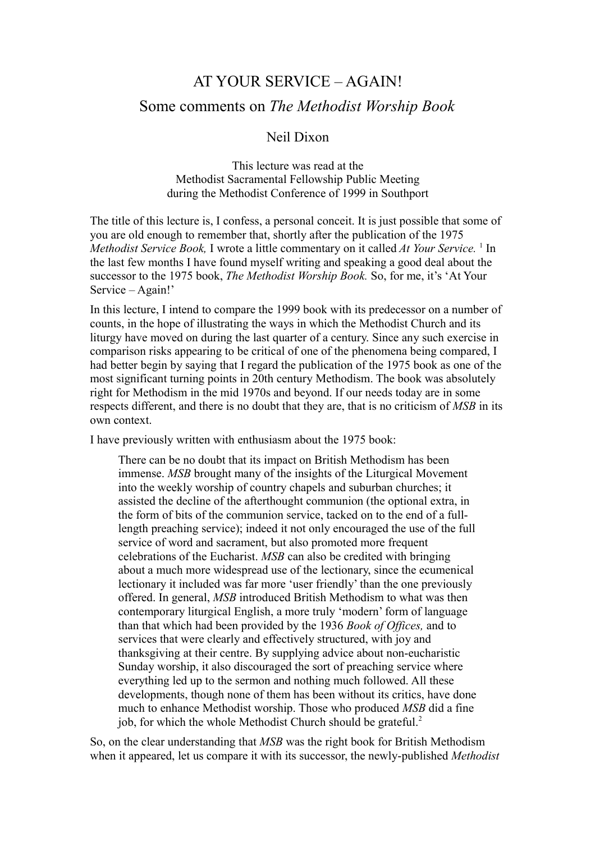## AT YOUR SERVICE – AGAIN! Some comments on *The Methodist Worship Book*

## Neil Dixon

This lecture was read at the Methodist Sacramental Fellowship Public Meeting during the Methodist Conference of 1999 in Southport

The title of this lecture is, I confess, a personal conceit. It is just possible that some of you are old enough to remember that, shortly after the publication of the 1975 *Methodist Service Book,* I wrote a little commentary on it called *At Your Service.* <sup>1</sup> In the last few months I have found myself writing and speaking a good deal about the successor to the 1975 book, *The Methodist Worship Book.* So, for me, it's 'At Your Service – Again!'

In this lecture, I intend to compare the 1999 book with its predecessor on a number of counts, in the hope of illustrating the ways in which the Methodist Church and its liturgy have moved on during the last quarter of a century. Since any such exercise in comparison risks appearing to be critical of one of the phenomena being compared, I had better begin by saying that I regard the publication of the 1975 book as one of the most significant turning points in 20th century Methodism. The book was absolutely right for Methodism in the mid 1970s and beyond. If our needs today are in some respects different, and there is no doubt that they are, that is no criticism of *MSB* in its own context.

I have previously written with enthusiasm about the 1975 book:

There can be no doubt that its impact on British Methodism has been immense. *MSB* brought many of the insights of the Liturgical Movement into the weekly worship of country chapels and suburban churches; it assisted the decline of the afterthought communion (the optional extra, in the form of bits of the communion service, tacked on to the end of a fulllength preaching service); indeed it not only encouraged the use of the full service of word and sacrament, but also promoted more frequent celebrations of the Eucharist. *MSB* can also be credited with bringing about a much more widespread use of the lectionary, since the ecumenical lectionary it included was far more 'user friendly' than the one previously offered. In general, *MSB* introduced British Methodism to what was then contemporary liturgical English, a more truly 'modern' form of language than that which had been provided by the 1936 *Book of Offices,* and to services that were clearly and effectively structured, with joy and thanksgiving at their centre. By supplying advice about non-eucharistic Sunday worship, it also discouraged the sort of preaching service where everything led up to the sermon and nothing much followed. All these developments, though none of them has been without its critics, have done much to enhance Methodist worship. Those who produced *MSB* did a fine job, for which the whole Methodist Church should be grateful.<sup>2</sup>

So, on the clear understanding that *MSB* was the right book for British Methodism when it appeared, let us compare it with its successor, the newly-published *Methodist*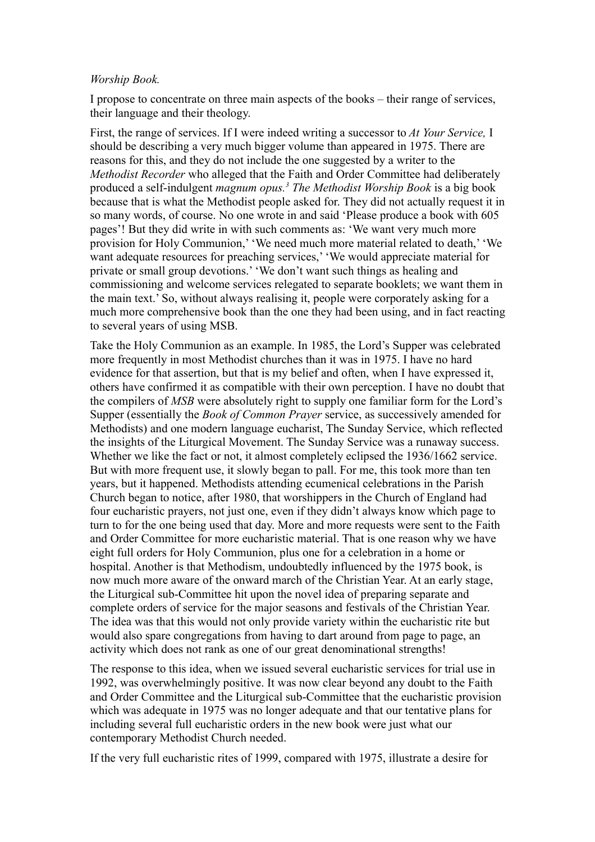## *Worship Book.*

I propose to concentrate on three main aspects of the books – their range of services, their language and their theology.

First, the range of services. If I were indeed writing a successor to *At Your Service,* I should be describing a very much bigger volume than appeared in 1975. There are reasons for this, and they do not include the one suggested by a writer to the *Methodist Recorder* who alleged that the Faith and Order Committee had deliberately produced a self-indulgent *magnum opus.<sup>3</sup> The Methodist Worship Book* is a big book because that is what the Methodist people asked for. They did not actually request it in so many words, of course. No one wrote in and said 'Please produce a book with 605 pages'! But they did write in with such comments as: 'We want very much more provision for Holy Communion,' 'We need much more material related to death,' 'We want adequate resources for preaching services,' 'We would appreciate material for private or small group devotions.' 'We don't want such things as healing and commissioning and welcome services relegated to separate booklets; we want them in the main text.' So, without always realising it, people were corporately asking for a much more comprehensive book than the one they had been using, and in fact reacting to several years of using MSB.

Take the Holy Communion as an example. In 1985, the Lord's Supper was celebrated more frequently in most Methodist churches than it was in 1975. I have no hard evidence for that assertion, but that is my belief and often, when I have expressed it, others have confirmed it as compatible with their own perception. I have no doubt that the compilers of *MSB* were absolutely right to supply one familiar form for the Lord's Supper (essentially the *Book of Common Prayer* service, as successively amended for Methodists) and one modern language eucharist, The Sunday Service, which reflected the insights of the Liturgical Movement. The Sunday Service was a runaway success. Whether we like the fact or not, it almost completely eclipsed the 1936/1662 service. But with more frequent use, it slowly began to pall. For me, this took more than ten years, but it happened. Methodists attending ecumenical celebrations in the Parish Church began to notice, after 1980, that worshippers in the Church of England had four eucharistic prayers, not just one, even if they didn't always know which page to turn to for the one being used that day. More and more requests were sent to the Faith and Order Committee for more eucharistic material. That is one reason why we have eight full orders for Holy Communion, plus one for a celebration in a home or hospital. Another is that Methodism, undoubtedly influenced by the 1975 book, is now much more aware of the onward march of the Christian Year. At an early stage, the Liturgical sub-Committee hit upon the novel idea of preparing separate and complete orders of service for the major seasons and festivals of the Christian Year. The idea was that this would not only provide variety within the eucharistic rite but would also spare congregations from having to dart around from page to page, an activity which does not rank as one of our great denominational strengths!

The response to this idea, when we issued several eucharistic services for trial use in 1992, was overwhelmingly positive. It was now clear beyond any doubt to the Faith and Order Committee and the Liturgical sub-Committee that the eucharistic provision which was adequate in 1975 was no longer adequate and that our tentative plans for including several full eucharistic orders in the new book were just what our contemporary Methodist Church needed.

If the very full eucharistic rites of 1999, compared with 1975, illustrate a desire for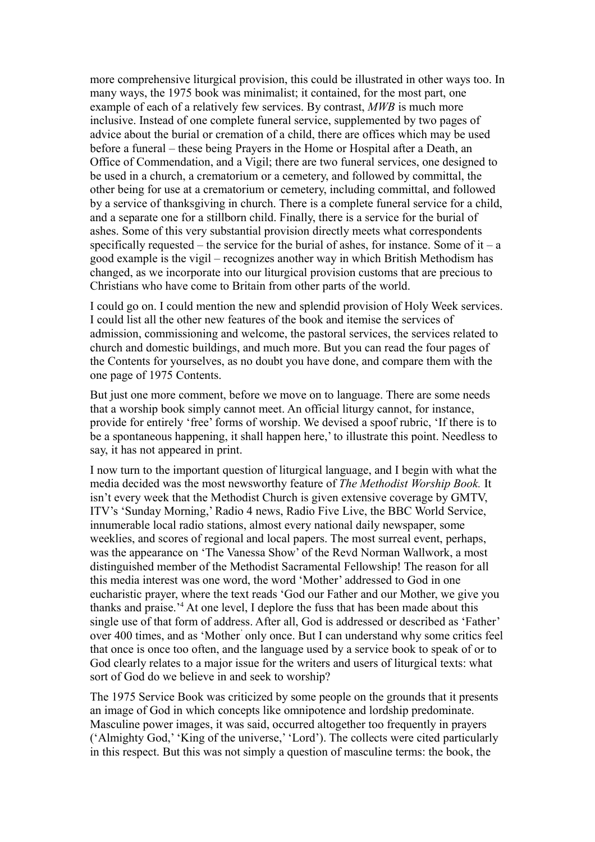more comprehensive liturgical provision, this could be illustrated in other ways too. In many ways, the 1975 book was minimalist; it contained, for the most part, one example of each of a relatively few services. By contrast, *MWB* is much more inclusive. Instead of one complete funeral service, supplemented by two pages of advice about the burial or cremation of a child, there are offices which may be used before a funeral – these being Prayers in the Home or Hospital after a Death, an Office of Commendation, and a Vigil; there are two funeral services, one designed to be used in a church, a crematorium or a cemetery, and followed by committal, the other being for use at a crematorium or cemetery, including committal, and followed by a service of thanksgiving in church. There is a complete funeral service for a child, and a separate one for a stillborn child. Finally, there is a service for the burial of ashes. Some of this very substantial provision directly meets what correspondents specifically requested – the service for the burial of ashes, for instance. Some of it – a good example is the vigil – recognizes another way in which British Methodism has changed, as we incorporate into our liturgical provision customs that are precious to Christians who have come to Britain from other parts of the world.

I could go on. I could mention the new and splendid provision of Holy Week services. I could list all the other new features of the book and itemise the services of admission, commissioning and welcome, the pastoral services, the services related to church and domestic buildings, and much more. But you can read the four pages of the Contents for yourselves, as no doubt you have done, and compare them with the one page of 1975 Contents.

But just one more comment, before we move on to language. There are some needs that a worship book simply cannot meet. An official liturgy cannot, for instance, provide for entirely 'free' forms of worship. We devised a spoof rubric, 'If there is to be a spontaneous happening, it shall happen here,' to illustrate this point. Needless to say, it has not appeared in print.

I now turn to the important question of liturgical language, and I begin with what the media decided was the most newsworthy feature of *The Methodist Worship Book.* It isn't every week that the Methodist Church is given extensive coverage by GMTV, ITV's 'Sunday Morning,' Radio 4 news, Radio Five Live, the BBC World Service, innumerable local radio stations, almost every national daily newspaper, some weeklies, and scores of regional and local papers. The most surreal event, perhaps, was the appearance on 'The Vanessa Show' of the Revd Norman Wallwork, a most distinguished member of the Methodist Sacramental Fellowship! The reason for all this media interest was one word, the word 'Mother' addressed to God in one eucharistic prayer, where the text reads 'God our Father and our Mother, we give you thanks and praise.'<sup>4</sup> At one level, I deplore the fuss that has been made about this single use of that form of address. After all, God is addressed or described as 'Father' over 400 times, and as 'Mother' only once. But I can understand why some critics feel that once is once too often, and the language used by a service book to speak of or to God clearly relates to a major issue for the writers and users of liturgical texts: what sort of God do we believe in and seek to worship?

The 1975 Service Book was criticized by some people on the grounds that it presents an image of God in which concepts like omnipotence and lordship predominate. Masculine power images, it was said, occurred altogether too frequently in prayers ('Almighty God,' 'King of the universe,' 'Lord'). The collects were cited particularly in this respect. But this was not simply a question of masculine terms: the book, the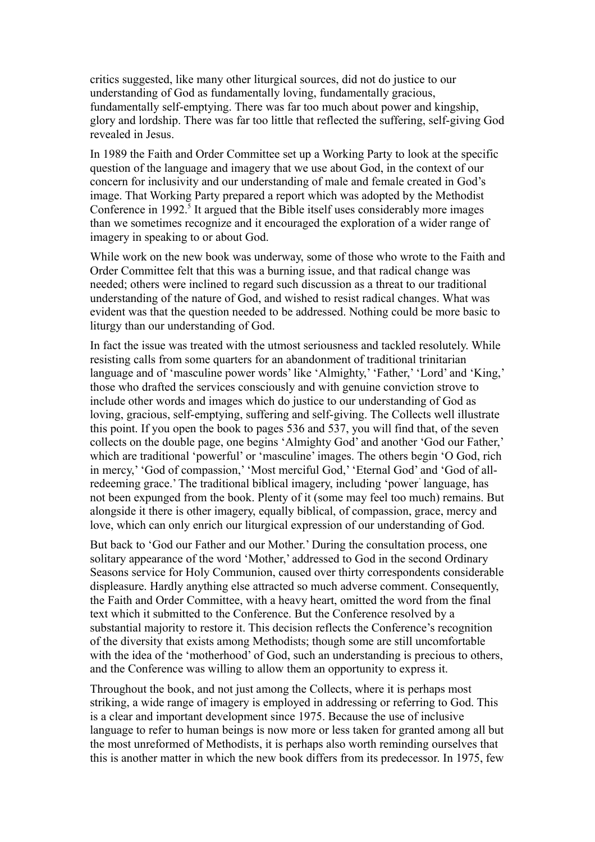critics suggested, like many other liturgical sources, did not do justice to our understanding of God as fundamentally loving, fundamentally gracious, fundamentally self-emptying. There was far too much about power and kingship, glory and lordship. There was far too little that reflected the suffering, self-giving God revealed in Jesus.

In 1989 the Faith and Order Committee set up a Working Party to look at the specific question of the language and imagery that we use about God, in the context of our concern for inclusivity and our understanding of male and female created in God's image. That Working Party prepared a report which was adopted by the Methodist Conference in 1992.<sup>5</sup> It argued that the Bible itself uses considerably more images than we sometimes recognize and it encouraged the exploration of a wider range of imagery in speaking to or about God.

While work on the new book was underway, some of those who wrote to the Faith and Order Committee felt that this was a burning issue, and that radical change was needed; others were inclined to regard such discussion as a threat to our traditional understanding of the nature of God, and wished to resist radical changes. What was evident was that the question needed to be addressed. Nothing could be more basic to liturgy than our understanding of God.

In fact the issue was treated with the utmost seriousness and tackled resolutely. While resisting calls from some quarters for an abandonment of traditional trinitarian language and of 'masculine power words' like 'Almighty,' 'Father,' 'Lord' and 'King,' those who drafted the services consciously and with genuine conviction strove to include other words and images which do justice to our understanding of God as loving, gracious, self-emptying, suffering and self-giving. The Collects well illustrate this point. If you open the book to pages 536 and 537, you will find that, of the seven collects on the double page, one begins 'Almighty God' and another 'God our Father,' which are traditional 'powerful' or 'masculine' images. The others begin 'O God, rich in mercy,' 'God of compassion,' 'Most merciful God,' 'Eternal God' and 'God of allredeeming grace.' The traditional biblical imagery, including 'power' language, has not been expunged from the book. Plenty of it (some may feel too much) remains. But alongside it there is other imagery, equally biblical, of compassion, grace, mercy and love, which can only enrich our liturgical expression of our understanding of God.

But back to 'God our Father and our Mother.' During the consultation process, one solitary appearance of the word 'Mother,' addressed to God in the second Ordinary Seasons service for Holy Communion, caused over thirty correspondents considerable displeasure. Hardly anything else attracted so much adverse comment. Consequently, the Faith and Order Committee, with a heavy heart, omitted the word from the final text which it submitted to the Conference. But the Conference resolved by a substantial majority to restore it. This decision reflects the Conference's recognition of the diversity that exists among Methodists; though some are still uncomfortable with the idea of the 'motherhood' of God, such an understanding is precious to others, and the Conference was willing to allow them an opportunity to express it.

Throughout the book, and not just among the Collects, where it is perhaps most striking, a wide range of imagery is employed in addressing or referring to God. This is a clear and important development since 1975. Because the use of inclusive language to refer to human beings is now more or less taken for granted among all but the most unreformed of Methodists, it is perhaps also worth reminding ourselves that this is another matter in which the new book differs from its predecessor. In 1975, few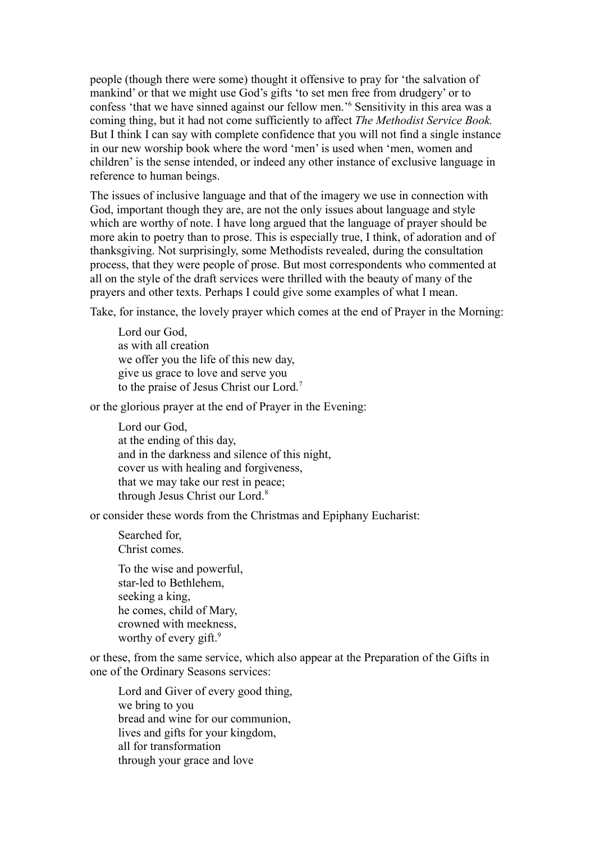people (though there were some) thought it offensive to pray for 'the salvation of mankind' or that we might use God's gifts 'to set men free from drudgery' or to confess 'that we have sinned against our fellow men.'<sup>6</sup> Sensitivity in this area was a coming thing, but it had not come sufficiently to affect *The Methodist Service Book.* But I think I can say with complete confidence that you will not find a single instance in our new worship book where the word 'men' is used when 'men, women and children' is the sense intended, or indeed any other instance of exclusive language in reference to human beings.

The issues of inclusive language and that of the imagery we use in connection with God, important though they are, are not the only issues about language and style which are worthy of note. I have long argued that the language of prayer should be more akin to poetry than to prose. This is especially true, I think, of adoration and of thanksgiving. Not surprisingly, some Methodists revealed, during the consultation process, that they were people of prose. But most correspondents who commented at all on the style of the draft services were thrilled with the beauty of many of the prayers and other texts. Perhaps I could give some examples of what I mean.

Take, for instance, the lovely prayer which comes at the end of Prayer in the Morning:

Lord our God, as with all creation we offer you the life of this new day, give us grace to love and serve you to the praise of Jesus Christ our Lord.<sup>7</sup>

or the glorious prayer at the end of Prayer in the Evening:

Lord our God, at the ending of this day, and in the darkness and silence of this night, cover us with healing and forgiveness, that we may take our rest in peace; through Jesus Christ our Lord.<sup>8</sup>

or consider these words from the Christmas and Epiphany Eucharist:

Searched for, Christ comes. To the wise and powerful,

star-led to Bethlehem, seeking a king, he comes, child of Mary, crowned with meekness, worthy of every gift.<sup>9</sup>

or these, from the same service, which also appear at the Preparation of the Gifts in one of the Ordinary Seasons services:

Lord and Giver of every good thing, we bring to you bread and wine for our communion, lives and gifts for your kingdom, all for transformation through your grace and love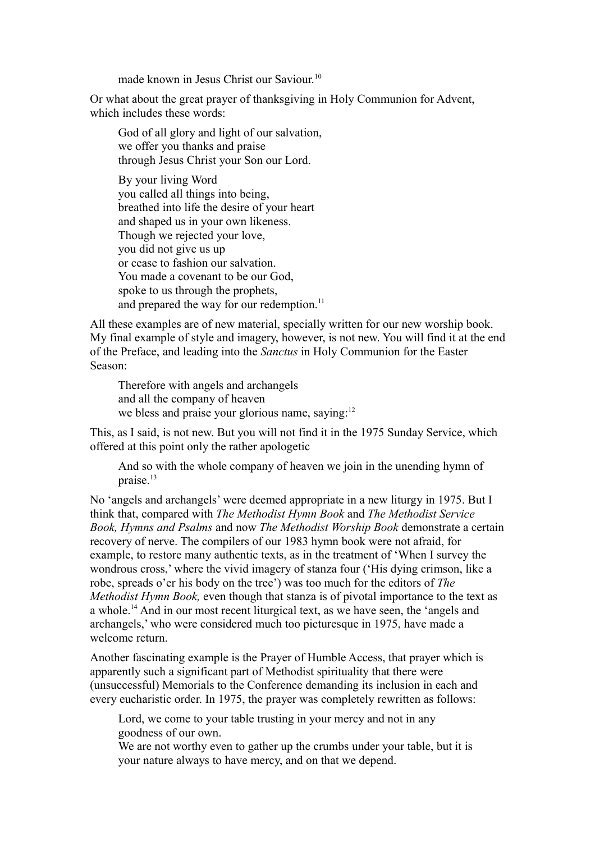made known in Jesus Christ our Saviour.<sup>10</sup>

Or what about the great prayer of thanksgiving in Holy Communion for Advent, which includes these words:

God of all glory and light of our salvation, we offer you thanks and praise through Jesus Christ your Son our Lord.

By your living Word you called all things into being, breathed into life the desire of your heart and shaped us in your own likeness. Though we rejected your love, you did not give us up or cease to fashion our salvation. You made a covenant to be our God, spoke to us through the prophets, and prepared the way for our redemption.<sup>11</sup>

All these examples are of new material, specially written for our new worship book. My final example of style and imagery, however, is not new. You will find it at the end of the Preface, and leading into the *Sanctus* in Holy Communion for the Easter Season:

Therefore with angels and archangels and all the company of heaven we bless and praise your glorious name, saying: $12$ 

This, as I said, is not new. But you will not find it in the 1975 Sunday Service, which offered at this point only the rather apologetic

And so with the whole company of heaven we join in the unending hymn of praise.<sup>13</sup>

No 'angels and archangels' were deemed appropriate in a new liturgy in 1975. But I think that, compared with *The Methodist Hymn Book* and *The Methodist Service Book, Hymns and Psalms* and now *The Methodist Worship Book* demonstrate a certain recovery of nerve. The compilers of our 1983 hymn book were not afraid, for example, to restore many authentic texts, as in the treatment of 'When I survey the wondrous cross,' where the vivid imagery of stanza four ('His dying crimson, like a robe, spreads o'er his body on the tree') was too much for the editors of *The Methodist Hymn Book,* even though that stanza is of pivotal importance to the text as a whole.<sup>14</sup> And in our most recent liturgical text, as we have seen, the 'angels and archangels,' who were considered much too picturesque in 1975, have made a welcome return.

Another fascinating example is the Prayer of Humble Access, that prayer which is apparently such a significant part of Methodist spirituality that there were (unsuccessful) Memorials to the Conference demanding its inclusion in each and every eucharistic order. In 1975, the prayer was completely rewritten as follows:

Lord, we come to your table trusting in your mercy and not in any goodness of our own.

We are not worthy even to gather up the crumbs under your table, but it is your nature always to have mercy, and on that we depend.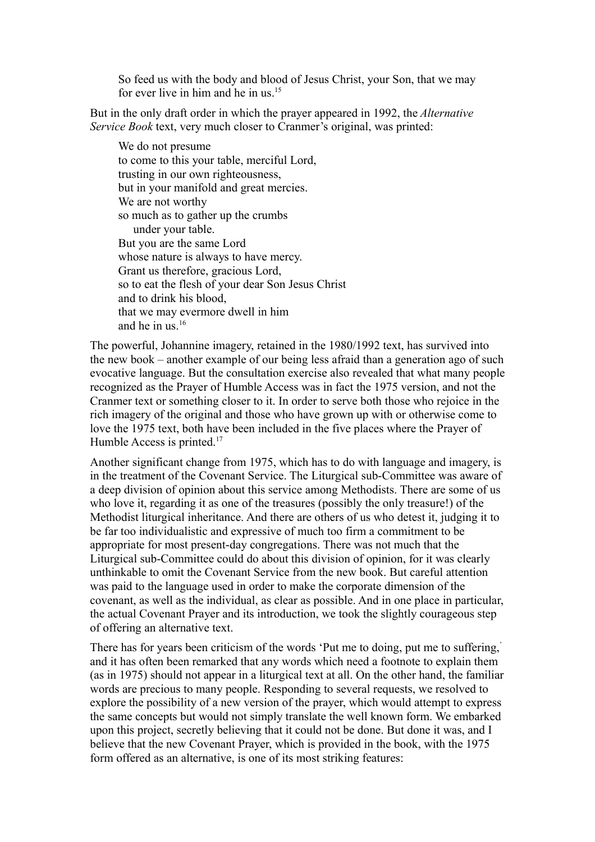So feed us with the body and blood of Jesus Christ, your Son, that we may for ever live in him and he in us.<sup>15</sup>

But in the only draft order in which the prayer appeared in 1992, the *Alternative Service Book* text, very much closer to Cranmer's original, was printed:

We do not presume to come to this your table, merciful Lord, trusting in our own righteousness, but in your manifold and great mercies. We are not worthy so much as to gather up the crumbs under your table. But you are the same Lord whose nature is always to have mercy. Grant us therefore, gracious Lord, so to eat the flesh of your dear Son Jesus Christ and to drink his blood, that we may evermore dwell in him and he in us. $16$ 

The powerful, Johannine imagery, retained in the 1980/1992 text, has survived into the new book – another example of our being less afraid than a generation ago of such evocative language. But the consultation exercise also revealed that what many people recognized as the Prayer of Humble Access was in fact the 1975 version, and not the Cranmer text or something closer to it. In order to serve both those who rejoice in the rich imagery of the original and those who have grown up with or otherwise come to love the 1975 text, both have been included in the five places where the Prayer of Humble Access is printed.<sup>17</sup>

Another significant change from 1975, which has to do with language and imagery, is in the treatment of the Covenant Service. The Liturgical sub-Committee was aware of a deep division of opinion about this service among Methodists. There are some of us who love it, regarding it as one of the treasures (possibly the only treasure!) of the Methodist liturgical inheritance. And there are others of us who detest it, judging it to be far too individualistic and expressive of much too firm a commitment to be appropriate for most present-day congregations. There was not much that the Liturgical sub-Committee could do about this division of opinion, for it was clearly unthinkable to omit the Covenant Service from the new book. But careful attention was paid to the language used in order to make the corporate dimension of the covenant, as well as the individual, as clear as possible. And in one place in particular, the actual Covenant Prayer and its introduction, we took the slightly courageous step of offering an alternative text.

There has for years been criticism of the words 'Put me to doing, put me to suffering,' and it has often been remarked that any words which need a footnote to explain them (as in 1975) should not appear in a liturgical text at all. On the other hand, the familiar words are precious to many people. Responding to several requests, we resolved to explore the possibility of a new version of the prayer, which would attempt to express the same concepts but would not simply translate the well known form. We embarked upon this project, secretly believing that it could not be done. But done it was, and I believe that the new Covenant Prayer, which is provided in the book, with the 1975 form offered as an alternative, is one of its most striking features: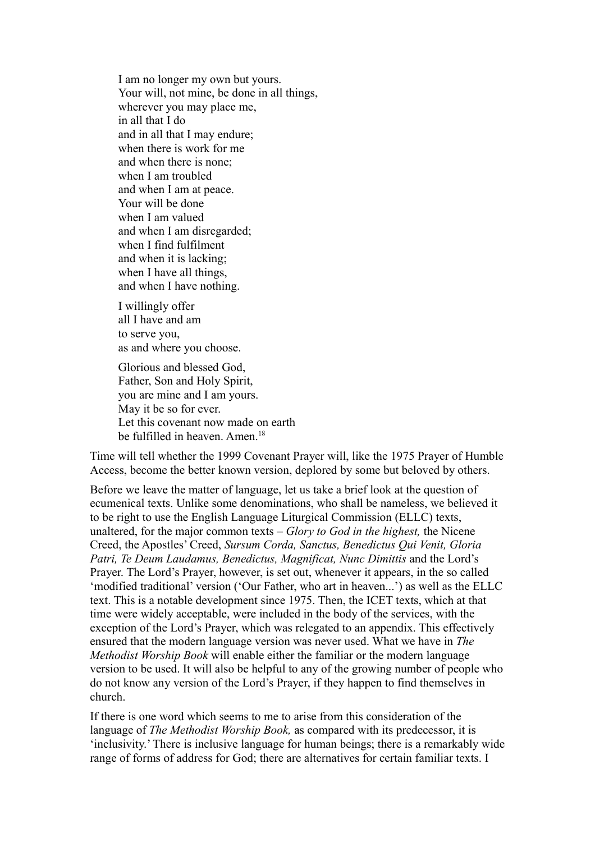I am no longer my own but yours. Your will, not mine, be done in all things, wherever you may place me, in all that I do and in all that I may endure; when there is work for me and when there is none; when I am troubled and when I am at peace. Your will be done when I am valued and when I am disregarded; when I find fulfilment and when it is lacking; when I have all things, and when I have nothing.

I willingly offer all I have and am to serve you, as and where you choose.

Glorious and blessed God, Father, Son and Holy Spirit, you are mine and I am yours. May it be so for ever. Let this covenant now made on earth be fulfilled in heaven. Amen.<sup>18</sup>

Time will tell whether the 1999 Covenant Prayer will, like the 1975 Prayer of Humble Access, become the better known version, deplored by some but beloved by others.

Before we leave the matter of language, let us take a brief look at the question of ecumenical texts. Unlike some denominations, who shall be nameless, we believed it to be right to use the English Language Liturgical Commission (ELLC) texts, unaltered, for the major common texts – *Glory to God in the highest,* the Nicene Creed, the Apostles' Creed, *Sursum Corda, Sanctus, Benedictus Qui Venit, Gloria Patri, Te Deum Laudamus, Benedictus, Magnificat, Nunc Dimittis* and the Lord's Prayer. The Lord's Prayer, however, is set out, whenever it appears, in the so called 'modified traditional' version ('Our Father, who art in heaven...') as well as the ELLC text. This is a notable development since 1975. Then, the ICET texts, which at that time were widely acceptable, were included in the body of the services, with the exception of the Lord's Prayer, which was relegated to an appendix. This effectively ensured that the modern language version was never used. What we have in *The Methodist Worship Book* will enable either the familiar or the modern language version to be used. It will also be helpful to any of the growing number of people who do not know any version of the Lord's Prayer, if they happen to find themselves in church.

If there is one word which seems to me to arise from this consideration of the language of *The Methodist Worship Book,* as compared with its predecessor, it is 'inclusivity.' There is inclusive language for human beings; there is a remarkably wide range of forms of address for God; there are alternatives for certain familiar texts. I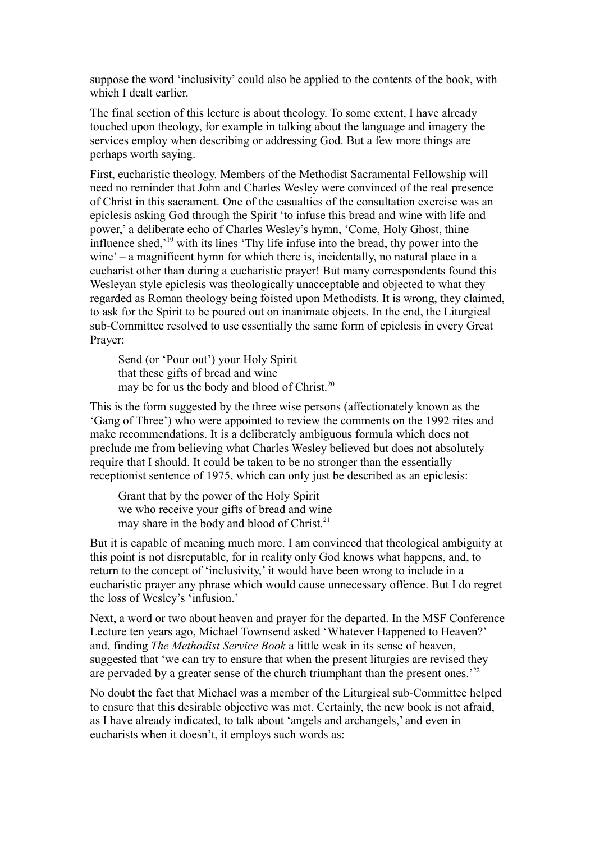suppose the word 'inclusivity' could also be applied to the contents of the book, with which I dealt earlier.

The final section of this lecture is about theology. To some extent, I have already touched upon theology, for example in talking about the language and imagery the services employ when describing or addressing God. But a few more things are perhaps worth saying.

First, eucharistic theology. Members of the Methodist Sacramental Fellowship will need no reminder that John and Charles Wesley were convinced of the real presence of Christ in this sacrament. One of the casualties of the consultation exercise was an epiclesis asking God through the Spirit 'to infuse this bread and wine with life and power,' a deliberate echo of Charles Wesley's hymn, 'Come, Holy Ghost, thine influence shed,'<sup>19</sup> with its lines 'Thy life infuse into the bread, thy power into the wine' – a magnificent hymn for which there is, incidentally, no natural place in a eucharist other than during a eucharistic prayer! But many correspondents found this Wesleyan style epiclesis was theologically unacceptable and objected to what they regarded as Roman theology being foisted upon Methodists. It is wrong, they claimed, to ask for the Spirit to be poured out on inanimate objects. In the end, the Liturgical sub-Committee resolved to use essentially the same form of epiclesis in every Great Prayer:

Send (or 'Pour out') your Holy Spirit that these gifts of bread and wine may be for us the body and blood of Christ.<sup>20</sup>

This is the form suggested by the three wise persons (affectionately known as the 'Gang of Three') who were appointed to review the comments on the 1992 rites and make recommendations. It is a deliberately ambiguous formula which does not preclude me from believing what Charles Wesley believed but does not absolutely require that I should. It could be taken to be no stronger than the essentially receptionist sentence of 1975, which can only just be described as an epiclesis:

Grant that by the power of the Holy Spirit we who receive your gifts of bread and wine may share in the body and blood of Christ.<sup>21</sup>

But it is capable of meaning much more. I am convinced that theological ambiguity at this point is not disreputable, for in reality only God knows what happens, and, to return to the concept of 'inclusivity,' it would have been wrong to include in a eucharistic prayer any phrase which would cause unnecessary offence. But I do regret the loss of Wesley's 'infusion.'

Next, a word or two about heaven and prayer for the departed. In the MSF Conference Lecture ten years ago, Michael Townsend asked 'Whatever Happened to Heaven?' and, finding *The Methodist Service Book* a little weak in its sense of heaven, suggested that 'we can try to ensure that when the present liturgies are revised they are pervaded by a greater sense of the church triumphant than the present ones.'<sup>22</sup>

No doubt the fact that Michael was a member of the Liturgical sub-Committee helped to ensure that this desirable objective was met. Certainly, the new book is not afraid, as I have already indicated, to talk about 'angels and archangels,' and even in eucharists when it doesn't, it employs such words as: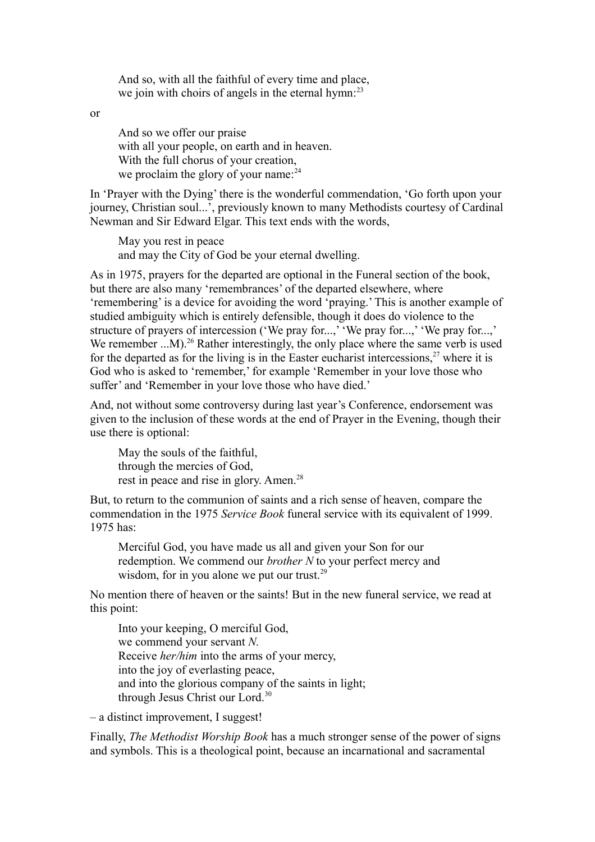And so, with all the faithful of every time and place, we join with choirs of angels in the eternal hymn:<sup>23</sup>

or

And so we offer our praise with all your people, on earth and in heaven. With the full chorus of your creation, we proclaim the glory of your name:<sup>24</sup>

In 'Prayer with the Dying' there is the wonderful commendation, 'Go forth upon your journey, Christian soul...', previously known to many Methodists courtesy of Cardinal Newman and Sir Edward Elgar. This text ends with the words,

May you rest in peace and may the City of God be your eternal dwelling.

As in 1975, prayers for the departed are optional in the Funeral section of the book, but there are also many 'remembrances' of the departed elsewhere, where 'remembering' is a device for avoiding the word 'praying.' This is another example of studied ambiguity which is entirely defensible, though it does do violence to the structure of prayers of intercession ('We pray for...,' 'We pray for...,' 'We pray for...,' We remember  $...$ M $)$ <sup>26</sup> Rather interestingly, the only place where the same verb is used for the departed as for the living is in the Easter eucharist intercessions.<sup>27</sup> where it is God who is asked to 'remember,' for example 'Remember in your love those who suffer' and 'Remember in your love those who have died.'

And, not without some controversy during last year's Conference, endorsement was given to the inclusion of these words at the end of Prayer in the Evening, though their use there is optional:

May the souls of the faithful, through the mercies of God, rest in peace and rise in glory. Amen.<sup>28</sup>

But, to return to the communion of saints and a rich sense of heaven, compare the commendation in the 1975 *Service Book* funeral service with its equivalent of 1999. 1975 has:

Merciful God, you have made us all and given your Son for our redemption. We commend our *brother N* to your perfect mercy and wisdom, for in you alone we put our trust. $29$ 

No mention there of heaven or the saints! But in the new funeral service, we read at this point:

Into your keeping, O merciful God, we commend your servant *N.* Receive *her/him* into the arms of your mercy, into the joy of everlasting peace, and into the glorious company of the saints in light; through Jesus Christ our Lord.<sup>30</sup>

– a distinct improvement, I suggest!

Finally, *The Methodist Worship Book* has a much stronger sense of the power of signs and symbols. This is a theological point, because an incarnational and sacramental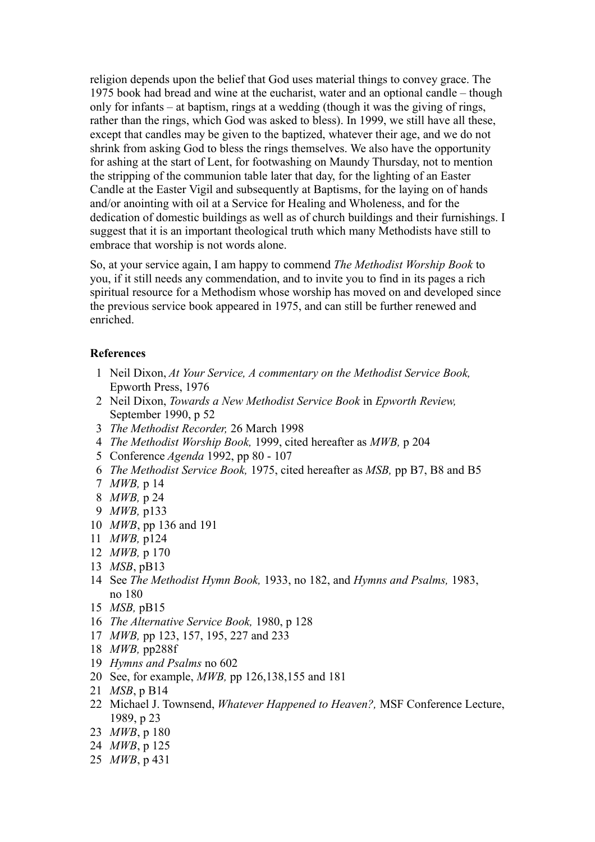religion depends upon the belief that God uses material things to convey grace. The 1975 book had bread and wine at the eucharist, water and an optional candle – though only for infants – at baptism, rings at a wedding (though it was the giving of rings, rather than the rings, which God was asked to bless). In 1999, we still have all these, except that candles may be given to the baptized, whatever their age, and we do not shrink from asking God to bless the rings themselves. We also have the opportunity for ashing at the start of Lent, for footwashing on Maundy Thursday, not to mention the stripping of the communion table later that day, for the lighting of an Easter Candle at the Easter Vigil and subsequently at Baptisms, for the laying on of hands and/or anointing with oil at a Service for Healing and Wholeness, and for the dedication of domestic buildings as well as of church buildings and their furnishings. I suggest that it is an important theological truth which many Methodists have still to embrace that worship is not words alone.

So, at your service again, I am happy to commend *The Methodist Worship Book* to you, if it still needs any commendation, and to invite you to find in its pages a rich spiritual resource for a Methodism whose worship has moved on and developed since the previous service book appeared in 1975, and can still be further renewed and enriched.

## **References**

- 1 Neil Dixon, *At Your Service, A commentary on the Methodist Service Book,* Epworth Press, 1976
- 2 Neil Dixon, *Towards a New Methodist Service Book* in *Epworth Review,* September 1990, p 52
- 3 *The Methodist Recorder,* 26 March 1998
- 4 *The Methodist Worship Book,* 1999, cited hereafter as *MWB,* p 204
- 5 Conference *Agenda* 1992, pp 80 107
- 6 *The Methodist Service Book,* 1975, cited hereafter as *MSB,* pp B7, B8 and B5
- 7 *MWB,* p 14
- 8 *MWB,* p 24
- 9 *MWB,* p133
- 10 *MWB*, pp 136 and 191
- 11 *MWB,* p124
- 12 *MWB,* p 170
- 13 *MSB*, pB13
- 14 See *The Methodist Hymn Book,* 1933, no 182, and *Hymns and Psalms,* 1983, no 180
- 15 *MSB,* pB15
- 16 *The Alternative Service Book,* 1980, p 128
- 17 *MWB,* pp 123, 157, 195, 227 and 233
- 18 *MWB,* pp288f
- 19 *Hymns and Psalms* no 602
- 20 See, for example, *MWB,* pp 126,138,155 and 181
- 21 *MSB*, p B14
- 22 Michael J. Townsend, *Whatever Happened to Heaven?,* MSF Conference Lecture, 1989, p 23
- 23 *MWB*, p 180
- 24 *MWB*, p 125
- 25 *MWB*, p 431